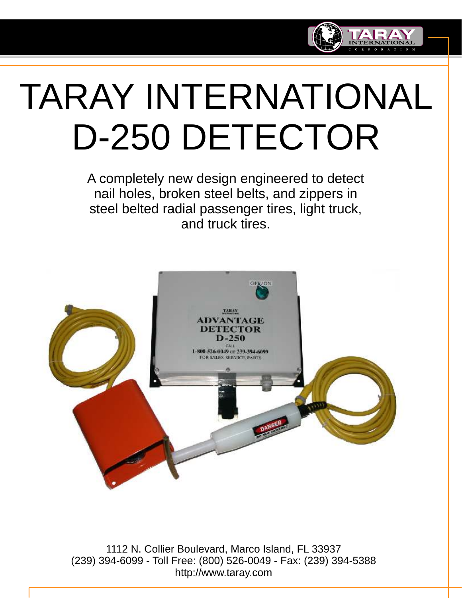

# TARAY INTERNATIONAL D-250 DETECTOR

A completely new design engineered to detect nail holes, broken steel belts, and zippers in steel belted radial passenger tires, light truck, and truck tires.



1112 N. Collier Boulevard, Marco Island, FL 33937 (239) 394-6099 - Toll Free: (800) 526-0049 - Fax: (239) 394-5388 http://www.taray.com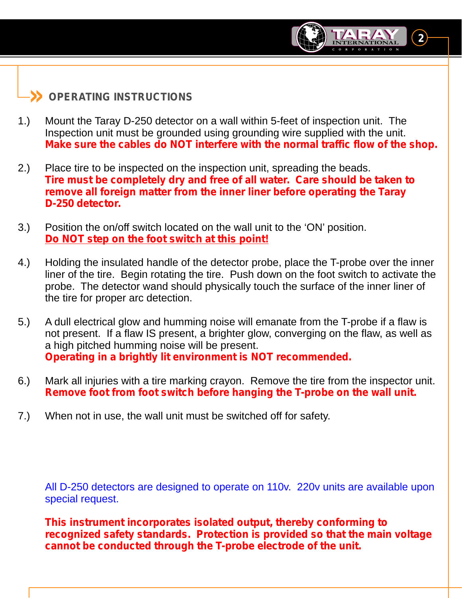### **» OPERATING INSTRUCTIONS**

1.) Mount the Taray D-250 detector on a wall within 5-feet of inspection unit. The Inspection unit must be grounded using grounding wire supplied with the unit. *Make sure the cables do NOT interfere with the normal traffic flow of the shop.*

**2**

- 2.) Place tire to be inspected on the inspection unit, spreading the beads. *Tire must be completely dry and free of all water. Care should be taken to remove all foreign matter from the inner liner before operating the Taray D-250 detector.*
- 3.) Position the on/off switch located on the wall unit to the 'ON' position. *Do NOT step on the foot switch at this point!*
- 4.) Holding the insulated handle of the detector probe, place the T-probe over the inner liner of the tire. Begin rotating the tire. Push down on the foot switch to activate the probe. The detector wand should physically touch the surface of the inner liner of the tire for proper arc detection.
- 5.) A dull electrical glow and humming noise will emanate from the T-probe if a flaw is not present. If a flaw IS present, a brighter glow, converging on the flaw, as well as a high pitched humming noise will be present. *Operating in a brightly lit environment is NOT recommended.*
- 6.) Mark all injuries with a tire marking crayon. Remove the tire from the inspector unit. *Remove foot from foot switch before hanging the T-probe on the wall unit.*
- 7.) When not in use, the wall unit must be switched off for safety.

All D-250 detectors are designed to operate on 110v. 220v units are available upon special request.

*This instrument incorporates isolated output, thereby conforming to recognized safety standards. Protection is provided so that the main voltage cannot be conducted through the T-probe electrode of the unit.*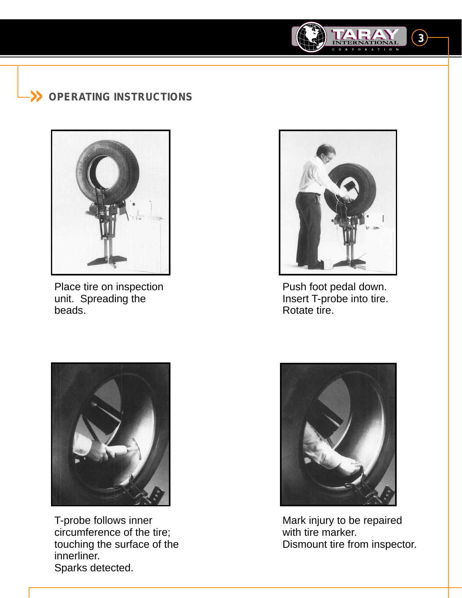## **» OPERATING INSTRUCTIONS**



Place tire on inspection unit. Spreading the beads.



**3**

Push foot pedal down. Insert T-probe into tire. Rotate tire.



T-probe follows inner circumference of the tire; touching the surface of the innerliner. Sparks detected.



Mark injury to be repaired with tire marker. Dismount tire from inspector.